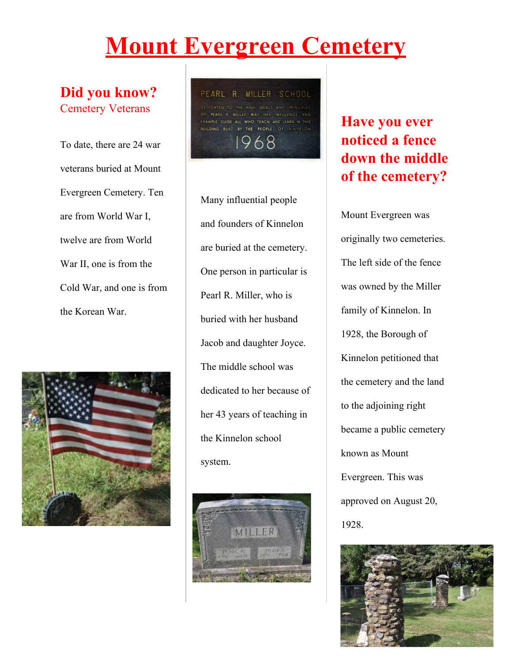# **Mount Evergreen Cemetery**

#### **Did you know?** Cemetery Veterans

To date, there are 24 war veterans buried at Mount Evergreen Cemetery. Ten are from World War I, twelve are from World War II, one is from the Cold War, and one is from the Korean War.



PEARL R. MILLER SCHOOL ATED TO THE HIGH IDEALS AND EXAMPLE GUIDE ALL WHO TEACH AND LEARN IN THIS **BUILDING BUILT BY THE PEOPLE OF KINNELON** 68

Many influential people and founders of Kinnelon are buried at the cemetery. One person in particular is Pearl R. Miller, who is buried with her husband Jacob and daughter Joyce. The middle school was dedicated to her because of her 43 years of teaching in the Kinnelon school system.



## **Have you ever noticed a fence down the middle of the cemetery?**

Mount Evergreen was originally two cemeteries. The left side of the fence was owned by the Miller family of Kinnelon. In 1928, the Borough of Kinnelon petitioned that the cemetery and the land to the adjoining right became a public cemetery known as Mount Evergreen. This was approved on August 20, 1928.